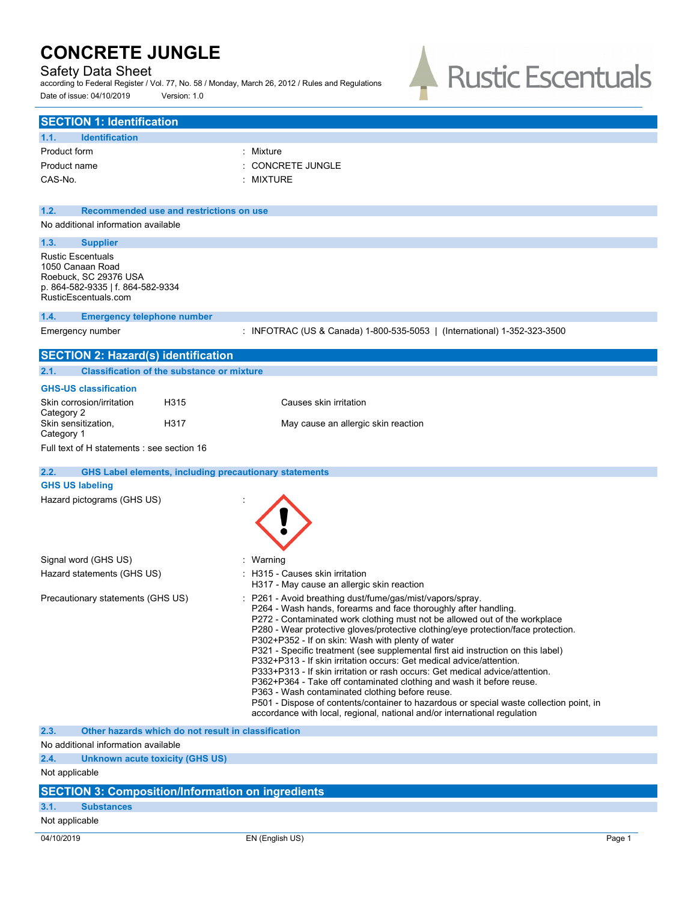### Safety Data Sheet

according to Federal Register / Vol. 77, No. 58 / Monday, March 26, 2012 / Rules and Regulations Date of issue: 04/10/2019 Version: 1.0



| <b>SECTION 1: Identification</b>                                                                                                   |                                                                                                                                                                                                                                                                                                                                                                                                                                                                                                                                                                                                                                                                                                                                                                                                                                                                                                   |  |  |
|------------------------------------------------------------------------------------------------------------------------------------|---------------------------------------------------------------------------------------------------------------------------------------------------------------------------------------------------------------------------------------------------------------------------------------------------------------------------------------------------------------------------------------------------------------------------------------------------------------------------------------------------------------------------------------------------------------------------------------------------------------------------------------------------------------------------------------------------------------------------------------------------------------------------------------------------------------------------------------------------------------------------------------------------|--|--|
| 1.1.<br><b>Identification</b>                                                                                                      |                                                                                                                                                                                                                                                                                                                                                                                                                                                                                                                                                                                                                                                                                                                                                                                                                                                                                                   |  |  |
| Product form                                                                                                                       | : Mixture                                                                                                                                                                                                                                                                                                                                                                                                                                                                                                                                                                                                                                                                                                                                                                                                                                                                                         |  |  |
| Product name                                                                                                                       | CONCRETE JUNGLE                                                                                                                                                                                                                                                                                                                                                                                                                                                                                                                                                                                                                                                                                                                                                                                                                                                                                   |  |  |
| CAS-No.                                                                                                                            | MIXTURE                                                                                                                                                                                                                                                                                                                                                                                                                                                                                                                                                                                                                                                                                                                                                                                                                                                                                           |  |  |
|                                                                                                                                    |                                                                                                                                                                                                                                                                                                                                                                                                                                                                                                                                                                                                                                                                                                                                                                                                                                                                                                   |  |  |
| 1.2.<br>Recommended use and restrictions on use                                                                                    |                                                                                                                                                                                                                                                                                                                                                                                                                                                                                                                                                                                                                                                                                                                                                                                                                                                                                                   |  |  |
| No additional information available                                                                                                |                                                                                                                                                                                                                                                                                                                                                                                                                                                                                                                                                                                                                                                                                                                                                                                                                                                                                                   |  |  |
| 1.3.<br><b>Supplier</b>                                                                                                            |                                                                                                                                                                                                                                                                                                                                                                                                                                                                                                                                                                                                                                                                                                                                                                                                                                                                                                   |  |  |
| <b>Rustic Escentuals</b><br>1050 Canaan Road<br>Roebuck, SC 29376 USA<br>p. 864-582-9335   f. 864-582-9334<br>RusticEscentuals.com |                                                                                                                                                                                                                                                                                                                                                                                                                                                                                                                                                                                                                                                                                                                                                                                                                                                                                                   |  |  |
| 1.4.<br><b>Emergency telephone number</b>                                                                                          |                                                                                                                                                                                                                                                                                                                                                                                                                                                                                                                                                                                                                                                                                                                                                                                                                                                                                                   |  |  |
| Emergency number                                                                                                                   | : INFOTRAC (US & Canada) 1-800-535-5053   (International) 1-352-323-3500                                                                                                                                                                                                                                                                                                                                                                                                                                                                                                                                                                                                                                                                                                                                                                                                                          |  |  |
| <b>SECTION 2: Hazard(s) identification</b>                                                                                         |                                                                                                                                                                                                                                                                                                                                                                                                                                                                                                                                                                                                                                                                                                                                                                                                                                                                                                   |  |  |
| 2.1.<br><b>Classification of the substance or mixture</b>                                                                          |                                                                                                                                                                                                                                                                                                                                                                                                                                                                                                                                                                                                                                                                                                                                                                                                                                                                                                   |  |  |
| <b>GHS-US classification</b>                                                                                                       |                                                                                                                                                                                                                                                                                                                                                                                                                                                                                                                                                                                                                                                                                                                                                                                                                                                                                                   |  |  |
| H315<br>Skin corrosion/irritation<br>Category 2                                                                                    | Causes skin irritation                                                                                                                                                                                                                                                                                                                                                                                                                                                                                                                                                                                                                                                                                                                                                                                                                                                                            |  |  |
| Skin sensitization,<br>H317<br>Category 1                                                                                          | May cause an allergic skin reaction                                                                                                                                                                                                                                                                                                                                                                                                                                                                                                                                                                                                                                                                                                                                                                                                                                                               |  |  |
| Full text of H statements : see section 16                                                                                         |                                                                                                                                                                                                                                                                                                                                                                                                                                                                                                                                                                                                                                                                                                                                                                                                                                                                                                   |  |  |
| <b>GHS Label elements, including precautionary statements</b><br>2.2.                                                              |                                                                                                                                                                                                                                                                                                                                                                                                                                                                                                                                                                                                                                                                                                                                                                                                                                                                                                   |  |  |
| <b>GHS US labeling</b>                                                                                                             |                                                                                                                                                                                                                                                                                                                                                                                                                                                                                                                                                                                                                                                                                                                                                                                                                                                                                                   |  |  |
| Hazard pictograms (GHS US)                                                                                                         |                                                                                                                                                                                                                                                                                                                                                                                                                                                                                                                                                                                                                                                                                                                                                                                                                                                                                                   |  |  |
|                                                                                                                                    |                                                                                                                                                                                                                                                                                                                                                                                                                                                                                                                                                                                                                                                                                                                                                                                                                                                                                                   |  |  |
| Signal word (GHS US)                                                                                                               | : Warning                                                                                                                                                                                                                                                                                                                                                                                                                                                                                                                                                                                                                                                                                                                                                                                                                                                                                         |  |  |
| Hazard statements (GHS US)                                                                                                         | : H315 - Causes skin irritation<br>H317 - May cause an allergic skin reaction                                                                                                                                                                                                                                                                                                                                                                                                                                                                                                                                                                                                                                                                                                                                                                                                                     |  |  |
| Precautionary statements (GHS US)                                                                                                  | P261 - Avoid breathing dust/fume/gas/mist/vapors/spray.<br>P264 - Wash hands, forearms and face thoroughly after handling.<br>P272 - Contaminated work clothing must not be allowed out of the workplace<br>P280 - Wear protective gloves/protective clothing/eye protection/face protection.<br>P302+P352 - If on skin: Wash with plenty of water<br>P321 - Specific treatment (see supplemental first aid instruction on this label)<br>P332+P313 - If skin irritation occurs: Get medical advice/attention.<br>P333+P313 - If skin irritation or rash occurs: Get medical advice/attention.<br>P362+P364 - Take off contaminated clothing and wash it before reuse.<br>P363 - Wash contaminated clothing before reuse.<br>P501 - Dispose of contents/container to hazardous or special waste collection point, in<br>accordance with local, regional, national and/or international regulation |  |  |
| 2.3.<br>Other hazards which do not result in classification                                                                        |                                                                                                                                                                                                                                                                                                                                                                                                                                                                                                                                                                                                                                                                                                                                                                                                                                                                                                   |  |  |
| No additional information available                                                                                                |                                                                                                                                                                                                                                                                                                                                                                                                                                                                                                                                                                                                                                                                                                                                                                                                                                                                                                   |  |  |
| 2.4.<br>Unknown acute toxicity (GHS US)                                                                                            |                                                                                                                                                                                                                                                                                                                                                                                                                                                                                                                                                                                                                                                                                                                                                                                                                                                                                                   |  |  |
| Not applicable                                                                                                                     |                                                                                                                                                                                                                                                                                                                                                                                                                                                                                                                                                                                                                                                                                                                                                                                                                                                                                                   |  |  |
| <b>SECTION 3: Composition/Information on ingredients</b>                                                                           |                                                                                                                                                                                                                                                                                                                                                                                                                                                                                                                                                                                                                                                                                                                                                                                                                                                                                                   |  |  |

## **3.1. Substances**

Not applicable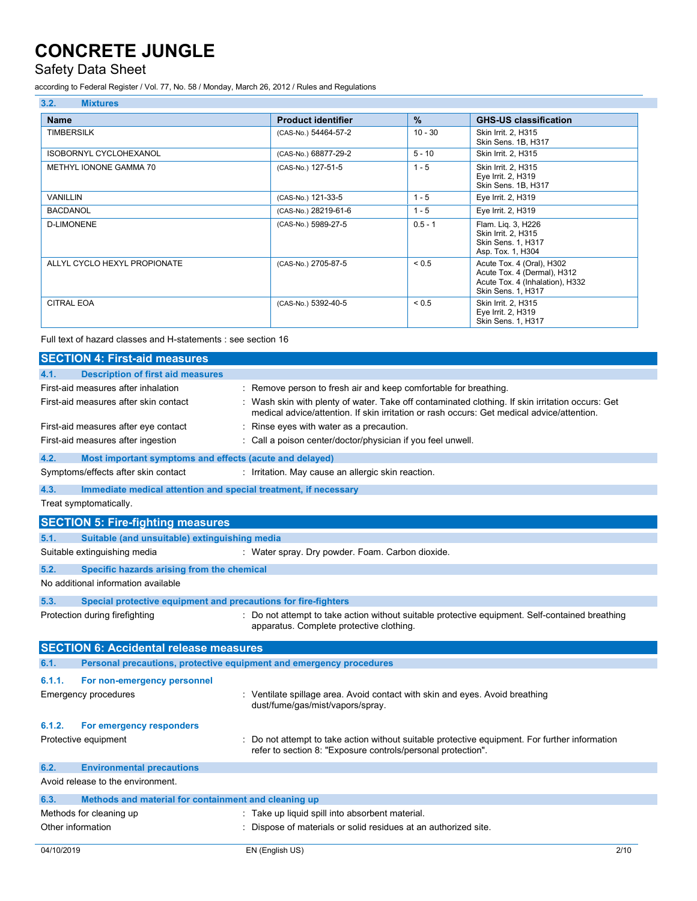## Safety Data Sheet

according to Federal Register / Vol. 77, No. 58 / Monday, March 26, 2012 / Rules and Regulations

| 3.2.<br><b>Mixtures</b>       |                           |               |                                                                                                                   |
|-------------------------------|---------------------------|---------------|-------------------------------------------------------------------------------------------------------------------|
| <b>Name</b>                   | <b>Product identifier</b> | $\frac{9}{6}$ | <b>GHS-US classification</b>                                                                                      |
| <b>TIMBERSILK</b>             | (CAS-No.) 54464-57-2      | $10 - 30$     | Skin Irrit. 2, H315<br>Skin Sens. 1B, H317                                                                        |
| <b>ISOBORNYL CYCLOHEXANOL</b> | (CAS-No.) 68877-29-2      | $5 - 10$      | Skin Irrit. 2, H315                                                                                               |
| METHYL IONONE GAMMA 70        | (CAS-No.) 127-51-5        | $1 - 5$       | Skin Irrit. 2, H315<br>Eye Irrit. 2, H319<br>Skin Sens. 1B, H317                                                  |
| <b>VANILLIN</b>               | (CAS-No.) 121-33-5        | $1 - 5$       | Eye Irrit. 2, H319                                                                                                |
| <b>BACDANOL</b>               | (CAS-No.) 28219-61-6      | $1 - 5$       | Eye Irrit. 2, H319                                                                                                |
| <b>D-LIMONENE</b>             | (CAS-No.) 5989-27-5       | $0.5 - 1$     | Flam. Lig. 3, H226<br>Skin Irrit. 2, H315<br>Skin Sens. 1, H317<br>Asp. Tox. 1, H304                              |
| ALLYL CYCLO HEXYL PROPIONATE  | (CAS-No.) 2705-87-5       | ${}_{0.5}$    | Acute Tox. 4 (Oral), H302<br>Acute Tox. 4 (Dermal), H312<br>Acute Tox. 4 (Inhalation), H332<br>Skin Sens. 1, H317 |
| <b>CITRAL EOA</b>             | (CAS-No.) 5392-40-5       | < 0.5         | Skin Irrit. 2, H315<br>Eye Irrit. 2, H319<br>Skin Sens. 1, H317                                                   |

Full text of hazard classes and H-statements : see section 16

| <b>SECTION 4: First-aid measures</b>                                        |                                                                                                                                                                                              |
|-----------------------------------------------------------------------------|----------------------------------------------------------------------------------------------------------------------------------------------------------------------------------------------|
| <b>Description of first aid measures</b><br>4.1.                            |                                                                                                                                                                                              |
| First-aid measures after inhalation                                         | : Remove person to fresh air and keep comfortable for breathing.                                                                                                                             |
| First-aid measures after skin contact                                       | Wash skin with plenty of water. Take off contaminated clothing. If skin irritation occurs: Get<br>medical advice/attention. If skin irritation or rash occurs: Get medical advice/attention. |
| First-aid measures after eye contact                                        | Rinse eyes with water as a precaution.                                                                                                                                                       |
| First-aid measures after ingestion                                          | : Call a poison center/doctor/physician if you feel unwell.                                                                                                                                  |
| 4.2.<br>Most important symptoms and effects (acute and delayed)             |                                                                                                                                                                                              |
| Symptoms/effects after skin contact                                         | : Irritation. May cause an allergic skin reaction.                                                                                                                                           |
| 4.3.<br>Immediate medical attention and special treatment, if necessary     |                                                                                                                                                                                              |
| Treat symptomatically.                                                      |                                                                                                                                                                                              |
| <b>SECTION 5: Fire-fighting measures</b>                                    |                                                                                                                                                                                              |
| 5.1.<br>Suitable (and unsuitable) extinguishing media                       |                                                                                                                                                                                              |
| Suitable extinguishing media                                                | : Water spray. Dry powder. Foam. Carbon dioxide.                                                                                                                                             |
| 5.2.<br>Specific hazards arising from the chemical                          |                                                                                                                                                                                              |
| No additional information available                                         |                                                                                                                                                                                              |
| 5.3.<br>Special protective equipment and precautions for fire-fighters      |                                                                                                                                                                                              |
| Protection during firefighting                                              | : Do not attempt to take action without suitable protective equipment. Self-contained breathing<br>apparatus. Complete protective clothing.                                                  |
| <b>SECTION 6: Accidental release measures</b>                               |                                                                                                                                                                                              |
| 6.1.<br>Personal precautions, protective equipment and emergency procedures |                                                                                                                                                                                              |
| 6.1.1.<br>For non-emergency personnel                                       |                                                                                                                                                                                              |
| <b>Emergency procedures</b>                                                 | : Ventilate spillage area. Avoid contact with skin and eyes. Avoid breathing<br>dust/fume/gas/mist/vapors/spray.                                                                             |
| 6.1.2.<br>For emergency responders                                          |                                                                                                                                                                                              |
| Protective equipment                                                        | Do not attempt to take action without suitable protective equipment. For further information<br>refer to section 8: "Exposure controls/personal protection".                                 |
| 6.2.<br><b>Environmental precautions</b>                                    |                                                                                                                                                                                              |
| Avoid release to the environment.                                           |                                                                                                                                                                                              |
| 6.3.<br>Methods and material for containment and cleaning up                |                                                                                                                                                                                              |
| Methods for cleaning up                                                     | : Take up liquid spill into absorbent material.                                                                                                                                              |
| Other information                                                           | Dispose of materials or solid residues at an authorized site.                                                                                                                                |
| 04/10/2019                                                                  | 2/10<br>EN (English US)                                                                                                                                                                      |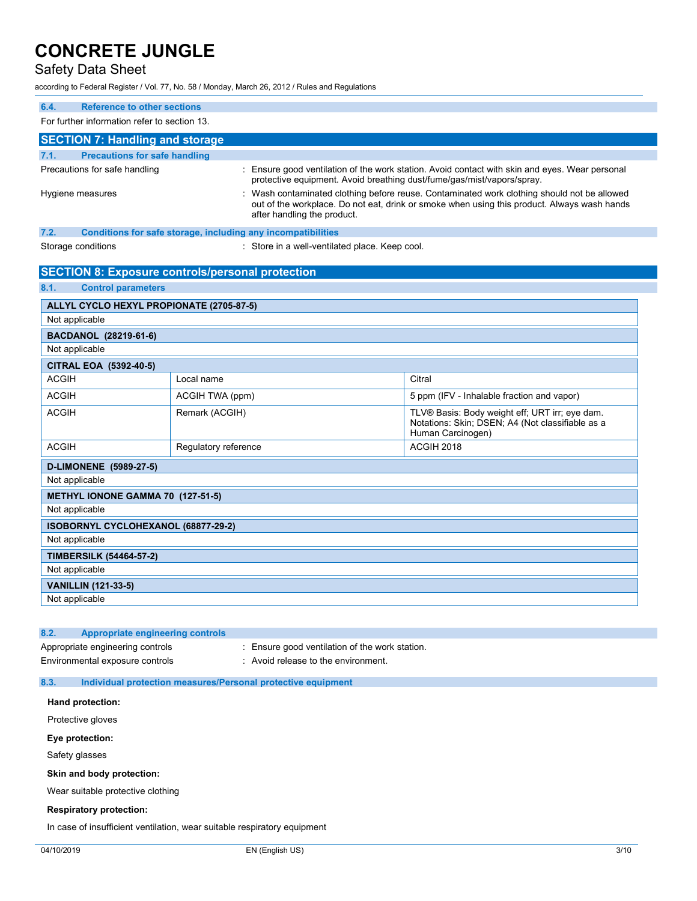### Safety Data Sheet

according to Federal Register / Vol. 77, No. 58 / Monday, March 26, 2012 / Rules and Regulations

| 6.4.<br><b>Reference to other sections</b>                                                                                                                                                                                                  |                      |                                                                        |                                                                                                                         |
|---------------------------------------------------------------------------------------------------------------------------------------------------------------------------------------------------------------------------------------------|----------------------|------------------------------------------------------------------------|-------------------------------------------------------------------------------------------------------------------------|
| For further information refer to section 13.                                                                                                                                                                                                |                      |                                                                        |                                                                                                                         |
| <b>SECTION 7: Handling and storage</b>                                                                                                                                                                                                      |                      |                                                                        |                                                                                                                         |
| <b>Precautions for safe handling</b><br>7.1.                                                                                                                                                                                                |                      |                                                                        |                                                                                                                         |
| Precautions for safe handling                                                                                                                                                                                                               |                      | protective equipment. Avoid breathing dust/fume/gas/mist/vapors/spray. | : Ensure good ventilation of the work station. Avoid contact with skin and eyes. Wear personal                          |
| Wash contaminated clothing before reuse. Contaminated work clothing should not be allowed<br>Hygiene measures<br>out of the workplace. Do not eat, drink or smoke when using this product. Always wash hands<br>after handling the product. |                      |                                                                        |                                                                                                                         |
| 7.2.                                                                                                                                                                                                                                        |                      | Conditions for safe storage, including any incompatibilities           |                                                                                                                         |
| Storage conditions                                                                                                                                                                                                                          |                      | : Store in a well-ventilated place. Keep cool.                         |                                                                                                                         |
|                                                                                                                                                                                                                                             |                      |                                                                        |                                                                                                                         |
| <b>SECTION 8: Exposure controls/personal protection</b>                                                                                                                                                                                     |                      |                                                                        |                                                                                                                         |
| 8.1.<br><b>Control parameters</b>                                                                                                                                                                                                           |                      |                                                                        |                                                                                                                         |
| ALLYL CYCLO HEXYL PROPIONATE (2705-87-5)                                                                                                                                                                                                    |                      |                                                                        |                                                                                                                         |
| Not applicable                                                                                                                                                                                                                              |                      |                                                                        |                                                                                                                         |
| BACDANOL (28219-61-6)                                                                                                                                                                                                                       |                      |                                                                        |                                                                                                                         |
| Not applicable                                                                                                                                                                                                                              |                      |                                                                        |                                                                                                                         |
| CITRAL EOA (5392-40-5)                                                                                                                                                                                                                      |                      |                                                                        |                                                                                                                         |
| <b>ACGIH</b>                                                                                                                                                                                                                                | Local name           |                                                                        | Citral                                                                                                                  |
| <b>ACGIH</b>                                                                                                                                                                                                                                | ACGIH TWA (ppm)      |                                                                        | 5 ppm (IFV - Inhalable fraction and vapor)                                                                              |
| <b>ACGIH</b>                                                                                                                                                                                                                                | Remark (ACGIH)       |                                                                        | TLV® Basis: Body weight eff; URT irr; eye dam.<br>Notations: Skin; DSEN; A4 (Not classifiable as a<br>Human Carcinogen) |
| <b>ACGIH</b>                                                                                                                                                                                                                                | Regulatory reference |                                                                        | ACGIH 2018                                                                                                              |
| D-LIMONENE (5989-27-5)                                                                                                                                                                                                                      |                      |                                                                        |                                                                                                                         |

| Not applicable                      |
|-------------------------------------|
| METHYL IONONE GAMMA 70 (127-51-5)   |
| Not applicable                      |
| ISOBORNYL CYCLOHEXANOL (68877-29-2) |
| Not applicable                      |
| <b>TIMBERSILK (54464-57-2)</b>      |
| Not applicable                      |
| <b>VANILLIN (121-33-5)</b>          |
| Not applicable                      |

| 8.2. | Appropriate engineering controls                                    |                                                                                       |
|------|---------------------------------------------------------------------|---------------------------------------------------------------------------------------|
|      | Appropriate engineering controls<br>Environmental exposure controls | : Ensure good ventilation of the work station.<br>: Avoid release to the environment. |
| 8.3. | Individual protection measures/Personal protective equipment        |                                                                                       |

### **Hand protection:**

Protective gloves

#### **Eye protection:**

Safety glasses

#### **Skin and body protection:**

Wear suitable protective clothing

#### **Respiratory protection:**

In case of insufficient ventilation, wear suitable respiratory equipment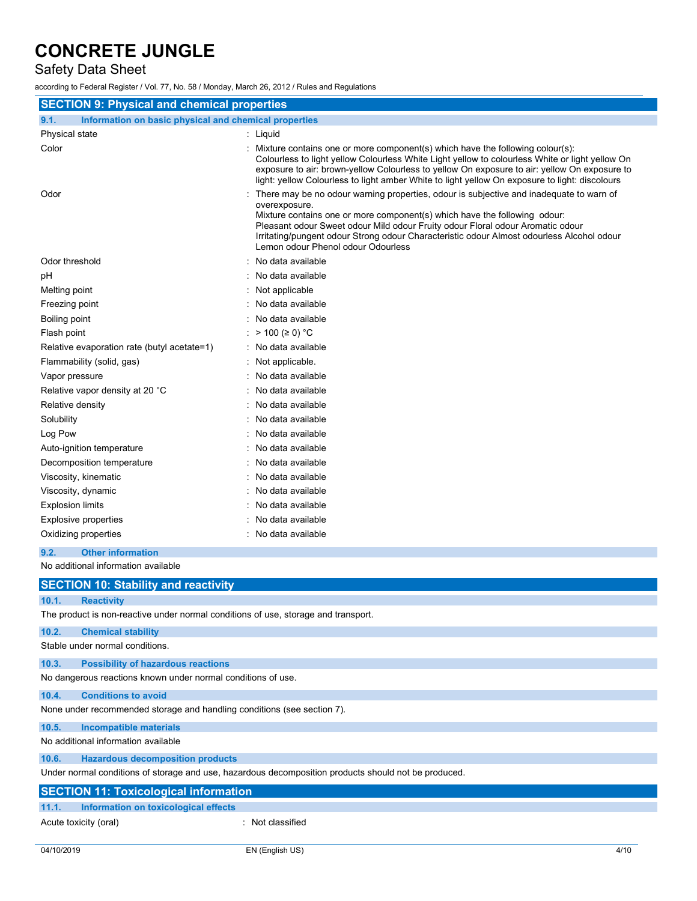## Safety Data Sheet

according to Federal Register / Vol. 77, No. 58 / Monday, March 26, 2012 / Rules and Regulations

| <b>SECTION 9: Physical and chemical properties</b>            |                                                                                                                                                                                                                                                                                                                                                                                                            |  |  |
|---------------------------------------------------------------|------------------------------------------------------------------------------------------------------------------------------------------------------------------------------------------------------------------------------------------------------------------------------------------------------------------------------------------------------------------------------------------------------------|--|--|
| Information on basic physical and chemical properties<br>9.1. |                                                                                                                                                                                                                                                                                                                                                                                                            |  |  |
| Physical state                                                | : Liquid                                                                                                                                                                                                                                                                                                                                                                                                   |  |  |
| Color                                                         | : Mixture contains one or more component(s) which have the following colour(s):<br>Colourless to light yellow Colourless White Light yellow to colourless White or light yellow On<br>exposure to air: brown-yellow Colourless to yellow On exposure to air: yellow On exposure to<br>light: yellow Colourless to light amber White to light yellow On exposure to light: discolours                       |  |  |
| Odor                                                          | There may be no odour warning properties, odour is subjective and inadequate to warn of<br>overexposure.<br>Mixture contains one or more component(s) which have the following odour:<br>Pleasant odour Sweet odour Mild odour Fruity odour Floral odour Aromatic odour<br>Irritating/pungent odour Strong odour Characteristic odour Almost odourless Alcohol odour<br>Lemon odour Phenol odour Odourless |  |  |
| Odor threshold                                                | : No data available                                                                                                                                                                                                                                                                                                                                                                                        |  |  |
| рH                                                            | : No data available                                                                                                                                                                                                                                                                                                                                                                                        |  |  |
| Melting point                                                 | : Not applicable                                                                                                                                                                                                                                                                                                                                                                                           |  |  |
| Freezing point                                                | : No data available                                                                                                                                                                                                                                                                                                                                                                                        |  |  |
| Boiling point                                                 | : No data available                                                                                                                                                                                                                                                                                                                                                                                        |  |  |
| Flash point                                                   | : > 100 (≥ 0) °C                                                                                                                                                                                                                                                                                                                                                                                           |  |  |
| Relative evaporation rate (butyl acetate=1)                   | : No data available                                                                                                                                                                                                                                                                                                                                                                                        |  |  |
| Flammability (solid, gas)                                     | Not applicable.                                                                                                                                                                                                                                                                                                                                                                                            |  |  |
| Vapor pressure                                                | : No data available                                                                                                                                                                                                                                                                                                                                                                                        |  |  |
| Relative vapor density at 20 °C                               | : No data available                                                                                                                                                                                                                                                                                                                                                                                        |  |  |
| Relative density                                              | : No data available                                                                                                                                                                                                                                                                                                                                                                                        |  |  |
| Solubility                                                    | : No data available                                                                                                                                                                                                                                                                                                                                                                                        |  |  |
| Log Pow                                                       | No data available                                                                                                                                                                                                                                                                                                                                                                                          |  |  |
| Auto-ignition temperature                                     | : No data available                                                                                                                                                                                                                                                                                                                                                                                        |  |  |
| Decomposition temperature                                     | : No data available                                                                                                                                                                                                                                                                                                                                                                                        |  |  |
| Viscosity, kinematic                                          | : No data available                                                                                                                                                                                                                                                                                                                                                                                        |  |  |
| Viscosity, dynamic                                            | : No data available                                                                                                                                                                                                                                                                                                                                                                                        |  |  |
| <b>Explosion limits</b>                                       | : No data available                                                                                                                                                                                                                                                                                                                                                                                        |  |  |
| <b>Explosive properties</b>                                   | : No data available                                                                                                                                                                                                                                                                                                                                                                                        |  |  |
| Oxidizing properties                                          | : No data available                                                                                                                                                                                                                                                                                                                                                                                        |  |  |

### **9.2. Other information**

No additional information available

|            | <b>SECTION 10: Stability and reactivity</b>                                                          |      |  |
|------------|------------------------------------------------------------------------------------------------------|------|--|
| 10.1.      | <b>Reactivity</b>                                                                                    |      |  |
|            | The product is non-reactive under normal conditions of use, storage and transport.                   |      |  |
| 10.2.      | <b>Chemical stability</b>                                                                            |      |  |
|            | Stable under normal conditions.                                                                      |      |  |
| 10.3.      | <b>Possibility of hazardous reactions</b>                                                            |      |  |
|            | No dangerous reactions known under normal conditions of use.                                         |      |  |
| 10.4.      | <b>Conditions to avoid</b>                                                                           |      |  |
|            | None under recommended storage and handling conditions (see section 7).                              |      |  |
| 10.5.      | <b>Incompatible materials</b>                                                                        |      |  |
|            | No additional information available                                                                  |      |  |
| 10.6.      | <b>Hazardous decomposition products</b>                                                              |      |  |
|            | Under normal conditions of storage and use, hazardous decomposition products should not be produced. |      |  |
|            | <b>SECTION 11: Toxicological information</b>                                                         |      |  |
| 11.1.      | Information on toxicological effects                                                                 |      |  |
|            | : Not classified<br>Acute toxicity (oral)                                                            |      |  |
| 04/10/2019 | EN (English US)                                                                                      | 4/10 |  |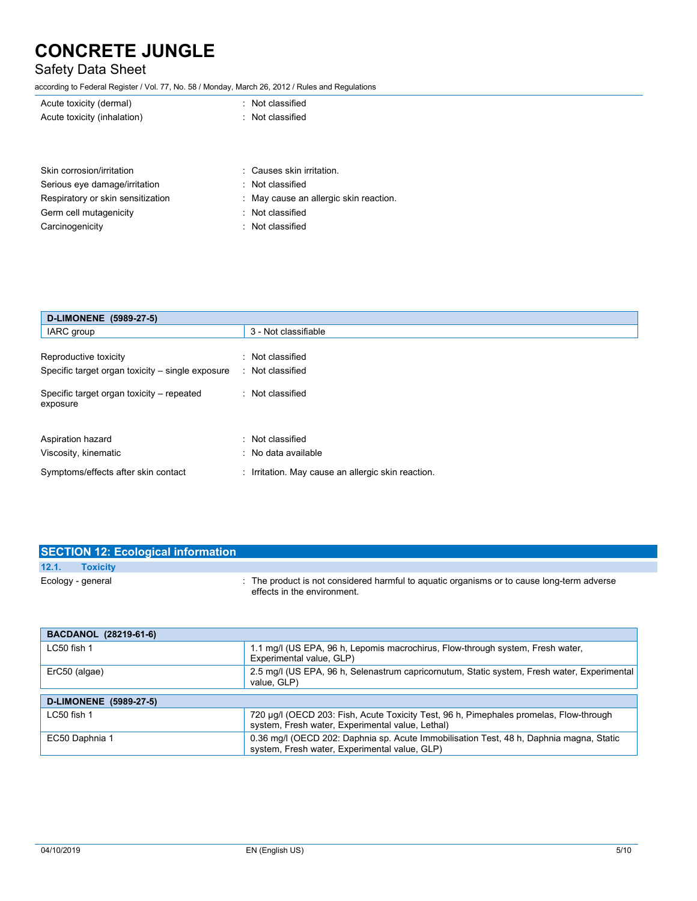## Safety Data Sheet

according to Federal Register / Vol. 77, No. 58 / Monday, March 26, 2012 / Rules and Regulations

| Acute toxicity (dermal)       | : Not classified          |  |  |
|-------------------------------|---------------------------|--|--|
| Acute toxicity (inhalation)   | : Not classified          |  |  |
|                               |                           |  |  |
|                               |                           |  |  |
|                               |                           |  |  |
| Skin corrosion/irritation     | : Causes skin irritation. |  |  |
| Serious eye damage/irritation | : Not classified          |  |  |

| Respiratory or skin sensitization | : May cause an allergic skin reaction. |
|-----------------------------------|----------------------------------------|
|                                   |                                        |

- Germ cell mutagenicity **in the case of the classified** : Not classified
- Carcinogenicity **Carcinogenicity 1999 Carcinogenicity Carcial CO**

| D-LIMONENE (5989-27-5)                                                    |                                                       |  |
|---------------------------------------------------------------------------|-------------------------------------------------------|--|
| IARC group                                                                | 3 - Not classifiable                                  |  |
| Reproductive toxicity<br>Specific target organ toxicity – single exposure | : Not classified<br>: Not classified                  |  |
| Specific target organ toxicity – repeated<br>exposure                     | : Not classified                                      |  |
| Aspiration hazard<br>Viscosity, kinematic                                 | : Not classified<br>: No data available               |  |
| Symptoms/effects after skin contact                                       | Irritation. May cause an allergic skin reaction.<br>÷ |  |

| <b>SECTION 12: Ecological information</b> |                                                                                                                           |
|-------------------------------------------|---------------------------------------------------------------------------------------------------------------------------|
| 12.1.<br><b>Toxicity</b>                  |                                                                                                                           |
| Ecology - general                         | : The product is not considered harmful to aguatic organisms or to cause long-term adverse<br>effects in the environment. |

| BACDANOL (28219-61-6)         |                                                                                                                                            |
|-------------------------------|--------------------------------------------------------------------------------------------------------------------------------------------|
| LC50 fish 1                   | 1.1 mg/l (US EPA, 96 h, Lepomis macrochirus, Flow-through system, Fresh water,<br>Experimental value, GLP)                                 |
| ErC50 (algae)                 | 2.5 mg/l (US EPA, 96 h, Selenastrum capricornutum, Static system, Fresh water, Experimental<br>value, GLP)                                 |
|                               |                                                                                                                                            |
| <b>D-LIMONENE</b> (5989-27-5) |                                                                                                                                            |
| LC50 fish 1                   | 720 µg/l (OECD 203: Fish, Acute Toxicity Test, 96 h, Pimephales promelas, Flow-through<br>system, Fresh water, Experimental value, Lethal) |
| EC50 Daphnia 1                | 0.36 mg/l (OECD 202: Daphnia sp. Acute Immobilisation Test, 48 h, Daphnia magna, Static<br>system, Fresh water, Experimental value, GLP)   |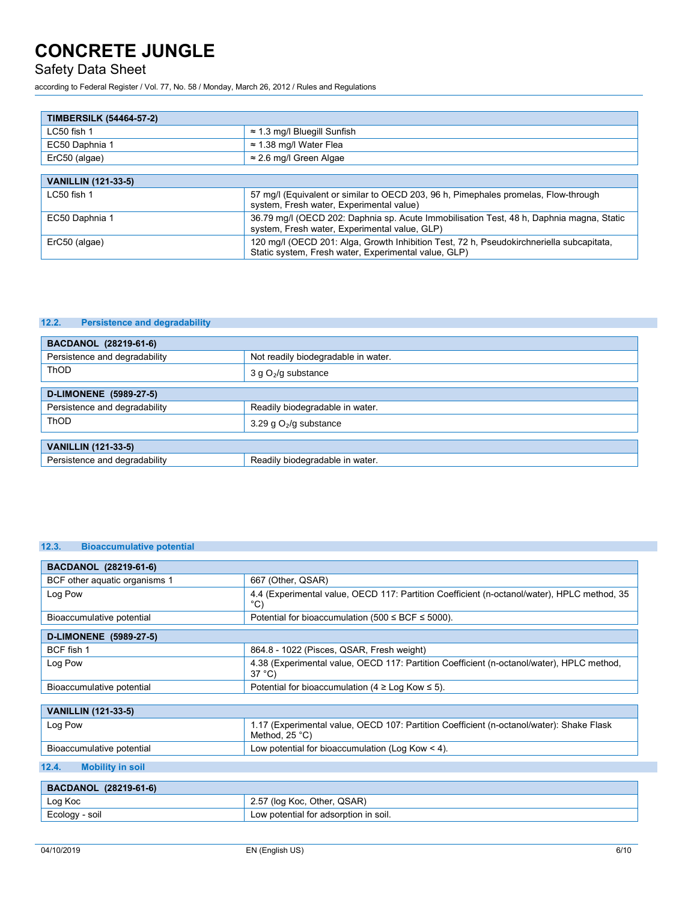## Safety Data Sheet

according to Federal Register / Vol. 77, No. 58 / Monday, March 26, 2012 / Rules and Regulations

| <b>TIMBERSILK (54464-57-2)</b> |                                                                                                                                                  |
|--------------------------------|--------------------------------------------------------------------------------------------------------------------------------------------------|
| $LC50$ fish 1                  | $\approx$ 1.3 mg/l Bluegill Sunfish                                                                                                              |
| EC50 Daphnia 1                 | $\approx$ 1.38 mg/l Water Flea                                                                                                                   |
| ErC50 (algae)                  | $\approx$ 2.6 mg/l Green Algae                                                                                                                   |
|                                |                                                                                                                                                  |
| <b>VANILLIN (121-33-5)</b>     |                                                                                                                                                  |
| LC50 fish 1                    | 57 mg/l (Equivalent or similar to OECD 203, 96 h, Pimephales promelas, Flow-through<br>system, Fresh water, Experimental value)                  |
| EC50 Daphnia 1                 | 36.79 mg/l (OECD 202: Daphnia sp. Acute Immobilisation Test, 48 h, Daphnia magna, Static<br>system, Fresh water, Experimental value, GLP)        |
| ErC50 (algae)                  | 120 mg/l (OECD 201: Alga, Growth Inhibition Test, 72 h, Pseudokirchneriella subcapitata,<br>Static system, Fresh water, Experimental value, GLP) |

### **12.2. Persistence and degradability**

| <b>BACDANOL</b> (28219-61-6)  |                                     |
|-------------------------------|-------------------------------------|
| Persistence and degradability | Not readily biodegradable in water. |
| ThOD                          | 3 g $O2/g$ substance                |
| D-LIMONENE (5989-27-5)        |                                     |
| Persistence and degradability | Readily biodegradable in water.     |
| <b>ThOD</b>                   | 3.29 g $O_2$ /g substance           |
|                               |                                     |
| <b>VANILLIN (121-33-5)</b>    |                                     |
| Persistence and degradability | Readily biodegradable in water.     |

### **12.3. Bioaccumulative potential**

| BACDANOL (28219-61-6)            |                                                                                                                     |
|----------------------------------|---------------------------------------------------------------------------------------------------------------------|
| BCF other aguatic organisms 1    | 667 (Other, QSAR)                                                                                                   |
| Log Pow                          | 4.4 (Experimental value, OECD 117: Partition Coefficient (n-octanol/water), HPLC method, 35<br>$^{\circ}$ C)        |
| Bioaccumulative potential        | Potential for bioaccumulation (500 $\leq$ BCF $\leq$ 5000).                                                         |
| D-LIMONENE (5989-27-5)           |                                                                                                                     |
| BCF fish 1                       | 864.8 - 1022 (Pisces, QSAR, Fresh weight)                                                                           |
| Log Pow                          | 4.38 (Experimental value, OECD 117: Partition Coefficient (n-octanol/water), HPLC method,<br>$37^{\circ}$ C)        |
| Bioaccumulative potential        | Potential for bioaccumulation (4 $\geq$ Log Kow $\leq$ 5).                                                          |
|                                  |                                                                                                                     |
| <b>VANILLIN (121-33-5)</b>       |                                                                                                                     |
| Log Pow                          | 1.17 (Experimental value, OECD 107: Partition Coefficient (n-octanol/water): Shake Flask<br>Method, $25^{\circ}$ C) |
| Bioaccumulative potential        | Low potential for bioaccumulation (Log Kow $<$ 4).                                                                  |
| 12.4.<br><b>Mobility in soil</b> |                                                                                                                     |
| BACDANOL (28219-61-6)            |                                                                                                                     |

| <b>PROPRITOL (EULIS-01-0)</b> |                                            |
|-------------------------------|--------------------------------------------|
| Log Koc                       | QSAR)<br>Other,<br>∸Koc,<br>(log<br>، ب ک  |
| Ecology<br>soil               | potential for adsorption in soil.<br>$-0W$ |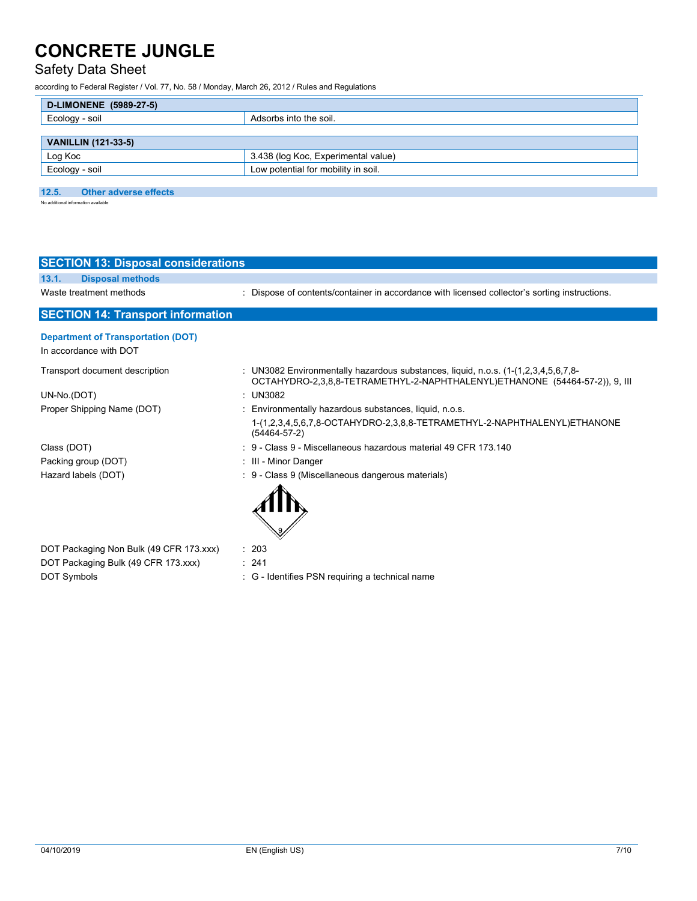## Safety Data Sheet

according to Federal Register / Vol. 77, No. 58 / Monday, March 26, 2012 / Rules and Regulations

| D-LIMONENE (5989-27-5)     |                                     |
|----------------------------|-------------------------------------|
| Ecology - soil             | Adsorbs into the soil.              |
|                            |                                     |
| <b>VANILLIN (121-33-5)</b> |                                     |
| Log Koc                    | 3.438 (log Koc, Experimental value) |
| Ecology - soil             | Low potential for mobility in soil. |

### **12.5. Other adverse effects**

No additional information available

| <b>SECTION 13: Disposal considerations</b>                          |                                                                                                                                                                      |
|---------------------------------------------------------------------|----------------------------------------------------------------------------------------------------------------------------------------------------------------------|
| <b>Disposal methods</b><br>13.1.                                    |                                                                                                                                                                      |
| Waste treatment methods                                             | : Dispose of contents/container in accordance with licensed collector's sorting instructions.                                                                        |
| <b>SECTION 14: Transport information</b>                            |                                                                                                                                                                      |
| <b>Department of Transportation (DOT)</b><br>In accordance with DOT |                                                                                                                                                                      |
| Transport document description                                      | : UN3082 Environmentally hazardous substances, liquid, n.o.s. $(1-(1,2,3,4,5,6,7,8))$<br>OCTAHYDRO-2,3,8,8-TETRAMETHYL-2-NAPHTHALENYL)ETHANONE (54464-57-2)), 9, III |
| UN-No.(DOT)                                                         | : $UN3082$                                                                                                                                                           |
| Proper Shipping Name (DOT)                                          | : Environmentally hazardous substances, liquid, n.o.s.                                                                                                               |
|                                                                     | 1-(1,2,3,4,5,6,7,8-OCTAHYDRO-2,3,8,8-TETRAMETHYL-2-NAPHTHALENYL)ETHANONE<br>$(54464 - 57 - 2)$                                                                       |
| Class (DOT)                                                         | : 9 - Class 9 - Miscellaneous hazardous material 49 CFR 173.140                                                                                                      |
| Packing group (DOT)                                                 | : III - Minor Danger                                                                                                                                                 |
| Hazard labels (DOT)                                                 | : 9 - Class 9 (Miscellaneous dangerous materials)                                                                                                                    |
|                                                                     |                                                                                                                                                                      |
| DOT Packaging Non Bulk (49 CFR 173.xxx)                             | : 203                                                                                                                                                                |
| DOT Packaging Bulk (49 CFR 173.xxx)                                 | : 241                                                                                                                                                                |
| <b>DOT Symbols</b>                                                  | - Identifies PSN requiring a technical name<br>: G                                                                                                                   |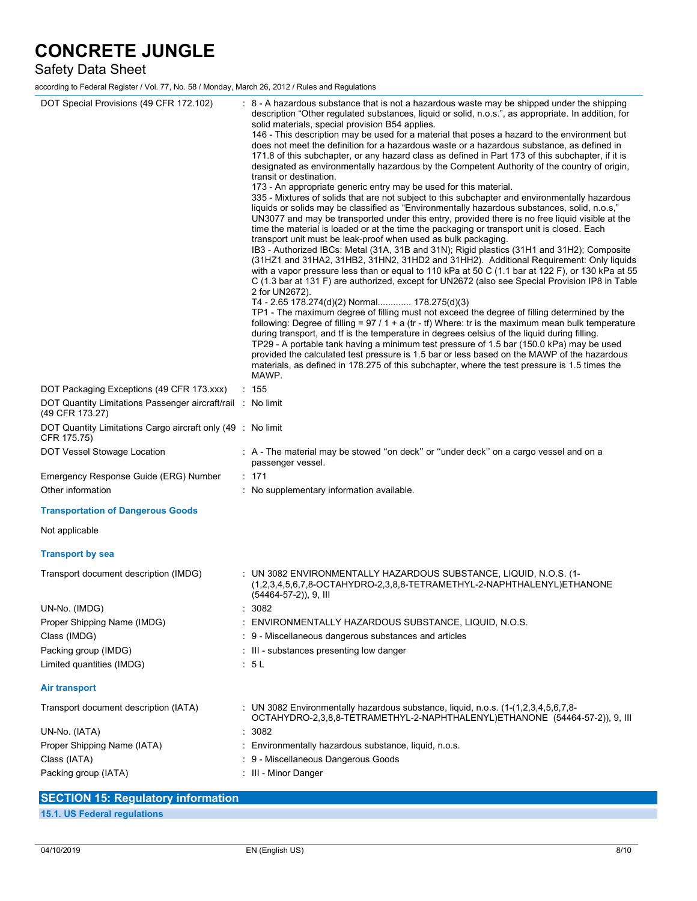## Safety Data Sheet

according to Federal Register / Vol. 77, No. 58 / Monday, March 26, 2012 / Rules and Regulations

| DOT Special Provisions (49 CFR 172.102)                                        | : 8 - A hazardous substance that is not a hazardous waste may be shipped under the shipping<br>description "Other regulated substances, liquid or solid, n.o.s.", as appropriate. In addition, for<br>solid materials, special provision B54 applies.<br>146 - This description may be used for a material that poses a hazard to the environment but<br>does not meet the definition for a hazardous waste or a hazardous substance, as defined in<br>171.8 of this subchapter, or any hazard class as defined in Part 173 of this subchapter, if it is<br>designated as environmentally hazardous by the Competent Authority of the country of origin,<br>transit or destination.<br>173 - An appropriate generic entry may be used for this material.<br>335 - Mixtures of solids that are not subject to this subchapter and environmentally hazardous<br>liquids or solids may be classified as "Environmentally hazardous substances, solid, n.o.s,"<br>UN3077 and may be transported under this entry, provided there is no free liquid visible at the<br>time the material is loaded or at the time the packaging or transport unit is closed. Each<br>transport unit must be leak-proof when used as bulk packaging.<br>IB3 - Authorized IBCs: Metal (31A, 31B and 31N); Rigid plastics (31H1 and 31H2); Composite<br>(31HZ1 and 31HA2, 31HB2, 31HN2, 31HD2 and 31HH2). Additional Requirement: Only liquids<br>with a vapor pressure less than or equal to 110 kPa at 50 C (1.1 bar at 122 F), or 130 kPa at 55<br>C (1.3 bar at 131 F) are authorized, except for UN2672 (also see Special Provision IP8 in Table<br>2 for UN2672).<br>T4 - 2.65 178.274(d)(2) Normal 178.275(d)(3)<br>TP1 - The maximum degree of filling must not exceed the degree of filling determined by the<br>following: Degree of filling = $97 / 1 + a$ (tr - tf) Where: tr is the maximum mean bulk temperature<br>during transport, and tf is the temperature in degrees celsius of the liquid during filling.<br>TP29 - A portable tank having a minimum test pressure of 1.5 bar (150.0 kPa) may be used<br>provided the calculated test pressure is 1.5 bar or less based on the MAWP of the hazardous<br>materials, as defined in 178.275 of this subchapter, where the test pressure is 1.5 times the<br>MAWP. |
|--------------------------------------------------------------------------------|------------------------------------------------------------------------------------------------------------------------------------------------------------------------------------------------------------------------------------------------------------------------------------------------------------------------------------------------------------------------------------------------------------------------------------------------------------------------------------------------------------------------------------------------------------------------------------------------------------------------------------------------------------------------------------------------------------------------------------------------------------------------------------------------------------------------------------------------------------------------------------------------------------------------------------------------------------------------------------------------------------------------------------------------------------------------------------------------------------------------------------------------------------------------------------------------------------------------------------------------------------------------------------------------------------------------------------------------------------------------------------------------------------------------------------------------------------------------------------------------------------------------------------------------------------------------------------------------------------------------------------------------------------------------------------------------------------------------------------------------------------------------------------------------------------------------------------------------------------------------------------------------------------------------------------------------------------------------------------------------------------------------------------------------------------------------------------------------------------------------------------------------------------------------------------------------------------------------------------------------------------------------------------------------------------|
| DOT Packaging Exceptions (49 CFR 173.xxx)                                      | : 155                                                                                                                                                                                                                                                                                                                                                                                                                                                                                                                                                                                                                                                                                                                                                                                                                                                                                                                                                                                                                                                                                                                                                                                                                                                                                                                                                                                                                                                                                                                                                                                                                                                                                                                                                                                                                                                                                                                                                                                                                                                                                                                                                                                                                                                                                                      |
| DOT Quantity Limitations Passenger aircraft/rail : No limit<br>(49 CFR 173.27) |                                                                                                                                                                                                                                                                                                                                                                                                                                                                                                                                                                                                                                                                                                                                                                                                                                                                                                                                                                                                                                                                                                                                                                                                                                                                                                                                                                                                                                                                                                                                                                                                                                                                                                                                                                                                                                                                                                                                                                                                                                                                                                                                                                                                                                                                                                            |
| DOT Quantity Limitations Cargo aircraft only (49 : No limit<br>CFR 175.75)     |                                                                                                                                                                                                                                                                                                                                                                                                                                                                                                                                                                                                                                                                                                                                                                                                                                                                                                                                                                                                                                                                                                                                                                                                                                                                                                                                                                                                                                                                                                                                                                                                                                                                                                                                                                                                                                                                                                                                                                                                                                                                                                                                                                                                                                                                                                            |
| DOT Vessel Stowage Location                                                    | : A - The material may be stowed "on deck" or "under deck" on a cargo vessel and on a<br>passenger vessel.                                                                                                                                                                                                                                                                                                                                                                                                                                                                                                                                                                                                                                                                                                                                                                                                                                                                                                                                                                                                                                                                                                                                                                                                                                                                                                                                                                                                                                                                                                                                                                                                                                                                                                                                                                                                                                                                                                                                                                                                                                                                                                                                                                                                 |
| Emergency Response Guide (ERG) Number                                          | $\therefore$ 171                                                                                                                                                                                                                                                                                                                                                                                                                                                                                                                                                                                                                                                                                                                                                                                                                                                                                                                                                                                                                                                                                                                                                                                                                                                                                                                                                                                                                                                                                                                                                                                                                                                                                                                                                                                                                                                                                                                                                                                                                                                                                                                                                                                                                                                                                           |
| Other information                                                              | : No supplementary information available.                                                                                                                                                                                                                                                                                                                                                                                                                                                                                                                                                                                                                                                                                                                                                                                                                                                                                                                                                                                                                                                                                                                                                                                                                                                                                                                                                                                                                                                                                                                                                                                                                                                                                                                                                                                                                                                                                                                                                                                                                                                                                                                                                                                                                                                                  |
| <b>Transportation of Dangerous Goods</b>                                       |                                                                                                                                                                                                                                                                                                                                                                                                                                                                                                                                                                                                                                                                                                                                                                                                                                                                                                                                                                                                                                                                                                                                                                                                                                                                                                                                                                                                                                                                                                                                                                                                                                                                                                                                                                                                                                                                                                                                                                                                                                                                                                                                                                                                                                                                                                            |
| Not applicable                                                                 |                                                                                                                                                                                                                                                                                                                                                                                                                                                                                                                                                                                                                                                                                                                                                                                                                                                                                                                                                                                                                                                                                                                                                                                                                                                                                                                                                                                                                                                                                                                                                                                                                                                                                                                                                                                                                                                                                                                                                                                                                                                                                                                                                                                                                                                                                                            |
| <b>Transport by sea</b>                                                        |                                                                                                                                                                                                                                                                                                                                                                                                                                                                                                                                                                                                                                                                                                                                                                                                                                                                                                                                                                                                                                                                                                                                                                                                                                                                                                                                                                                                                                                                                                                                                                                                                                                                                                                                                                                                                                                                                                                                                                                                                                                                                                                                                                                                                                                                                                            |
| Transport document description (IMDG)                                          | : UN 3082 ENVIRONMENTALLY HAZARDOUS SUBSTANCE, LIQUID, N.O.S. (1-<br>(1,2,3,4,5,6,7,8-OCTAHYDRO-2,3,8,8-TETRAMETHYL-2-NAPHTHALENYL)ETHANONE<br>(54464-57-2)), 9, III                                                                                                                                                                                                                                                                                                                                                                                                                                                                                                                                                                                                                                                                                                                                                                                                                                                                                                                                                                                                                                                                                                                                                                                                                                                                                                                                                                                                                                                                                                                                                                                                                                                                                                                                                                                                                                                                                                                                                                                                                                                                                                                                       |
| UN-No. (IMDG)                                                                  | : 3082                                                                                                                                                                                                                                                                                                                                                                                                                                                                                                                                                                                                                                                                                                                                                                                                                                                                                                                                                                                                                                                                                                                                                                                                                                                                                                                                                                                                                                                                                                                                                                                                                                                                                                                                                                                                                                                                                                                                                                                                                                                                                                                                                                                                                                                                                                     |
| Proper Shipping Name (IMDG)                                                    | ENVIRONMENTALLY HAZARDOUS SUBSTANCE, LIQUID, N.O.S.                                                                                                                                                                                                                                                                                                                                                                                                                                                                                                                                                                                                                                                                                                                                                                                                                                                                                                                                                                                                                                                                                                                                                                                                                                                                                                                                                                                                                                                                                                                                                                                                                                                                                                                                                                                                                                                                                                                                                                                                                                                                                                                                                                                                                                                        |
| Class (IMDG)                                                                   | : 9 - Miscellaneous dangerous substances and articles                                                                                                                                                                                                                                                                                                                                                                                                                                                                                                                                                                                                                                                                                                                                                                                                                                                                                                                                                                                                                                                                                                                                                                                                                                                                                                                                                                                                                                                                                                                                                                                                                                                                                                                                                                                                                                                                                                                                                                                                                                                                                                                                                                                                                                                      |
| Packing group (IMDG)                                                           | : III - substances presenting low danger                                                                                                                                                                                                                                                                                                                                                                                                                                                                                                                                                                                                                                                                                                                                                                                                                                                                                                                                                                                                                                                                                                                                                                                                                                                                                                                                                                                                                                                                                                                                                                                                                                                                                                                                                                                                                                                                                                                                                                                                                                                                                                                                                                                                                                                                   |
|                                                                                |                                                                                                                                                                                                                                                                                                                                                                                                                                                                                                                                                                                                                                                                                                                                                                                                                                                                                                                                                                                                                                                                                                                                                                                                                                                                                                                                                                                                                                                                                                                                                                                                                                                                                                                                                                                                                                                                                                                                                                                                                                                                                                                                                                                                                                                                                                            |
| Limited quantities (IMDG)                                                      | : 5L                                                                                                                                                                                                                                                                                                                                                                                                                                                                                                                                                                                                                                                                                                                                                                                                                                                                                                                                                                                                                                                                                                                                                                                                                                                                                                                                                                                                                                                                                                                                                                                                                                                                                                                                                                                                                                                                                                                                                                                                                                                                                                                                                                                                                                                                                                       |
| Air transport                                                                  |                                                                                                                                                                                                                                                                                                                                                                                                                                                                                                                                                                                                                                                                                                                                                                                                                                                                                                                                                                                                                                                                                                                                                                                                                                                                                                                                                                                                                                                                                                                                                                                                                                                                                                                                                                                                                                                                                                                                                                                                                                                                                                                                                                                                                                                                                                            |
| Transport document description (IATA)                                          | : UN 3082 Environmentally hazardous substance, liquid, n.o.s. $(1-(1,2,3,4,5,6,7,8))$<br>OCTAHYDRO-2,3,8,8-TETRAMETHYL-2-NAPHTHALENYL)ETHANONE (54464-57-2)), 9, III                                                                                                                                                                                                                                                                                                                                                                                                                                                                                                                                                                                                                                                                                                                                                                                                                                                                                                                                                                                                                                                                                                                                                                                                                                                                                                                                                                                                                                                                                                                                                                                                                                                                                                                                                                                                                                                                                                                                                                                                                                                                                                                                       |
| UN-No. (IATA)                                                                  | 3082                                                                                                                                                                                                                                                                                                                                                                                                                                                                                                                                                                                                                                                                                                                                                                                                                                                                                                                                                                                                                                                                                                                                                                                                                                                                                                                                                                                                                                                                                                                                                                                                                                                                                                                                                                                                                                                                                                                                                                                                                                                                                                                                                                                                                                                                                                       |
| Proper Shipping Name (IATA)                                                    | : Environmentally hazardous substance, liquid, n.o.s.                                                                                                                                                                                                                                                                                                                                                                                                                                                                                                                                                                                                                                                                                                                                                                                                                                                                                                                                                                                                                                                                                                                                                                                                                                                                                                                                                                                                                                                                                                                                                                                                                                                                                                                                                                                                                                                                                                                                                                                                                                                                                                                                                                                                                                                      |
| Class (IATA)                                                                   | : 9 - Miscellaneous Dangerous Goods                                                                                                                                                                                                                                                                                                                                                                                                                                                                                                                                                                                                                                                                                                                                                                                                                                                                                                                                                                                                                                                                                                                                                                                                                                                                                                                                                                                                                                                                                                                                                                                                                                                                                                                                                                                                                                                                                                                                                                                                                                                                                                                                                                                                                                                                        |
| Packing group (IATA)                                                           | : III - Minor Danger                                                                                                                                                                                                                                                                                                                                                                                                                                                                                                                                                                                                                                                                                                                                                                                                                                                                                                                                                                                                                                                                                                                                                                                                                                                                                                                                                                                                                                                                                                                                                                                                                                                                                                                                                                                                                                                                                                                                                                                                                                                                                                                                                                                                                                                                                       |
|                                                                                |                                                                                                                                                                                                                                                                                                                                                                                                                                                                                                                                                                                                                                                                                                                                                                                                                                                                                                                                                                                                                                                                                                                                                                                                                                                                                                                                                                                                                                                                                                                                                                                                                                                                                                                                                                                                                                                                                                                                                                                                                                                                                                                                                                                                                                                                                                            |

| <b>SECTION 15: Regulatory information</b> |  |
|-------------------------------------------|--|
| 15.1. US Federal regulations              |  |
|                                           |  |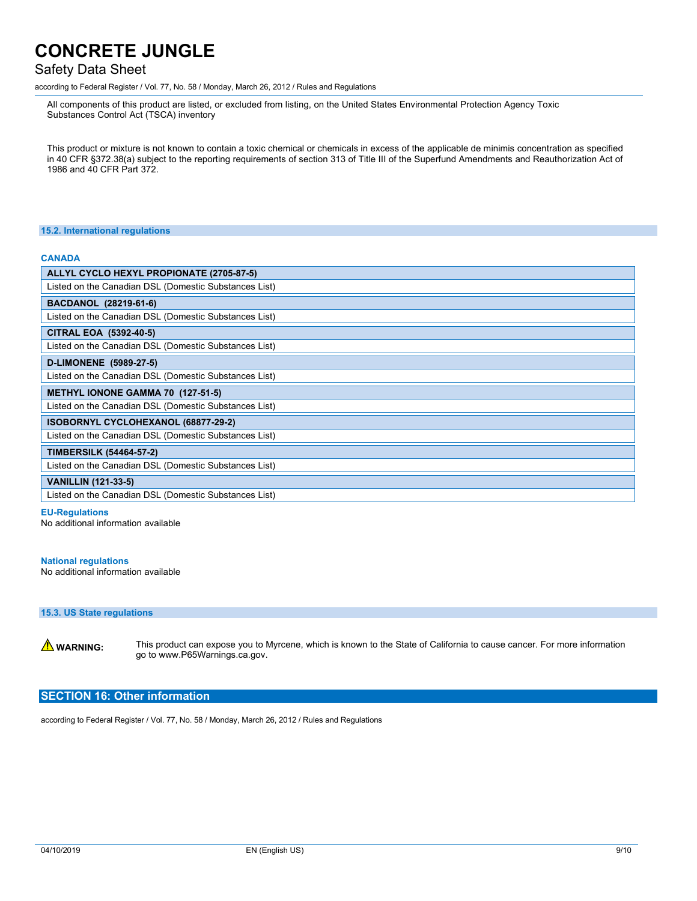### Safety Data Sheet

according to Federal Register / Vol. 77, No. 58 / Monday, March 26, 2012 / Rules and Regulations

All components of this product are listed, or excluded from listing, on the United States Environmental Protection Agency Toxic Substances Control Act (TSCA) inventory

This product or mixture is not known to contain a toxic chemical or chemicals in excess of the applicable de minimis concentration as specified in 40 CFR §372.38(a) subject to the reporting requirements of section 313 of Title III of the Superfund Amendments and Reauthorization Act of 1986 and 40 CFR Part 372.

#### **15.2. International regulations**

#### **CANADA**

| ALLYL CYCLO HEXYL PROPIONATE (2705-87-5)              |  |  |
|-------------------------------------------------------|--|--|
| Listed on the Canadian DSL (Domestic Substances List) |  |  |
| <b>BACDANOL (28219-61-6)</b>                          |  |  |
| Listed on the Canadian DSL (Domestic Substances List) |  |  |
| CITRAL EOA (5392-40-5)                                |  |  |
| Listed on the Canadian DSL (Domestic Substances List) |  |  |
| D-LIMONENE (5989-27-5)                                |  |  |
| Listed on the Canadian DSL (Domestic Substances List) |  |  |
| <b>METHYL IONONE GAMMA 70 (127-51-5)</b>              |  |  |
| Listed on the Canadian DSL (Domestic Substances List) |  |  |
| ISOBORNYL CYCLOHEXANOL (68877-29-2)                   |  |  |
| Listed on the Canadian DSL (Domestic Substances List) |  |  |
| <b>TIMBERSILK (54464-57-2)</b>                        |  |  |
| Listed on the Canadian DSL (Domestic Substances List) |  |  |
| <b>VANILLIN (121-33-5)</b>                            |  |  |
| Listed on the Canadian DSL (Domestic Substances List) |  |  |

#### **EU-Regulations**

No additional information available

#### **National regulations**

No additional information available

#### **15.3. US State regulations**

WARNING: This product can expose you to Myrcene, which is known to the State of California to cause cancer. For more information go to www.P65Warnings.ca.gov.

### **SECTION 16: Other information**

according to Federal Register / Vol. 77, No. 58 / Monday, March 26, 2012 / Rules and Regulations